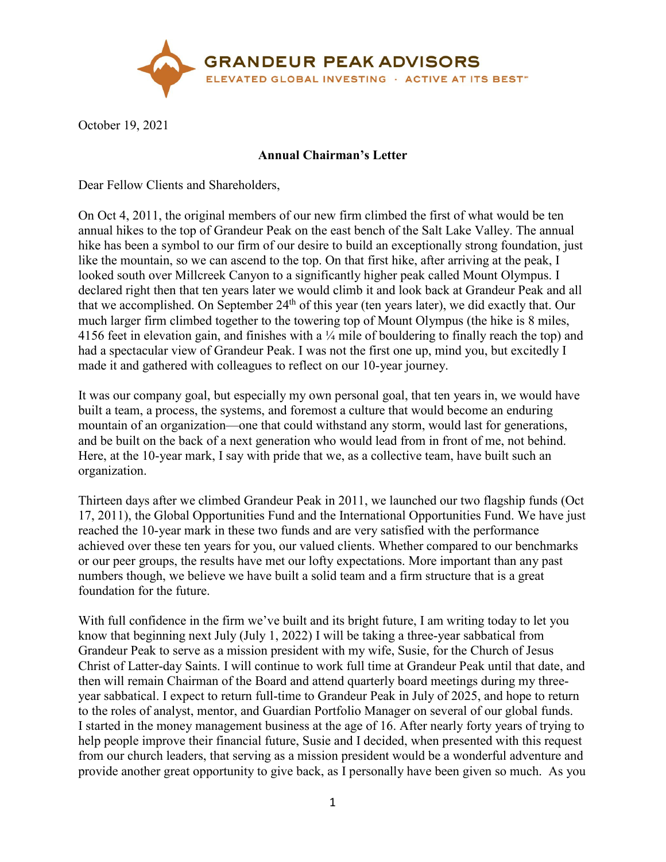

October 19, 2021

## **Annual Chairman's Letter**

Dear Fellow Clients and Shareholders,

On Oct 4, 2011, the original members of our new firm climbed the first of what would be ten annual hikes to the top of Grandeur Peak on the east bench of the Salt Lake Valley. The annual hike has been a symbol to our firm of our desire to build an exceptionally strong foundation, just like the mountain, so we can ascend to the top. On that first hike, after arriving at the peak, I looked south over Millcreek Canyon to a significantly higher peak called Mount Olympus. I declared right then that ten years later we would climb it and look back at Grandeur Peak and all that we accomplished. On September 24<sup>th</sup> of this year (ten years later), we did exactly that. Our much larger firm climbed together to the towering top of Mount Olympus (the hike is 8 miles, 4156 feet in elevation gain, and finishes with a ¼ mile of bouldering to finally reach the top) and had a spectacular view of Grandeur Peak. I was not the first one up, mind you, but excitedly I made it and gathered with colleagues to reflect on our 10-year journey.

It was our company goal, but especially my own personal goal, that ten years in, we would have built a team, a process, the systems, and foremost a culture that would become an enduring mountain of an organization—one that could withstand any storm, would last for generations, and be built on the back of a next generation who would lead from in front of me, not behind. Here, at the 10-year mark, I say with pride that we, as a collective team, have built such an organization.

Thirteen days after we climbed Grandeur Peak in 2011, we launched our two flagship funds (Oct 17, 2011), the Global Opportunities Fund and the International Opportunities Fund. We have just reached the 10-year mark in these two funds and are very satisfied with the performance achieved over these ten years for you, our valued clients. Whether compared to our benchmarks or our peer groups, the results have met our lofty expectations. More important than any past numbers though, we believe we have built a solid team and a firm structure that is a great foundation for the future.

With full confidence in the firm we've built and its bright future, I am writing today to let you know that beginning next July (July 1, 2022) I will be taking a three-year sabbatical from Grandeur Peak to serve as a mission president with my wife, Susie, for the Church of Jesus Christ of Latter-day Saints. I will continue to work full time at Grandeur Peak until that date, and then will remain Chairman of the Board and attend quarterly board meetings during my threeyear sabbatical. I expect to return full-time to Grandeur Peak in July of 2025, and hope to return to the roles of analyst, mentor, and Guardian Portfolio Manager on several of our global funds. I started in the money management business at the age of 16. After nearly forty years of trying to help people improve their financial future, Susie and I decided, when presented with this request from our church leaders, that serving as a mission president would be a wonderful adventure and provide another great opportunity to give back, as I personally have been given so much. As you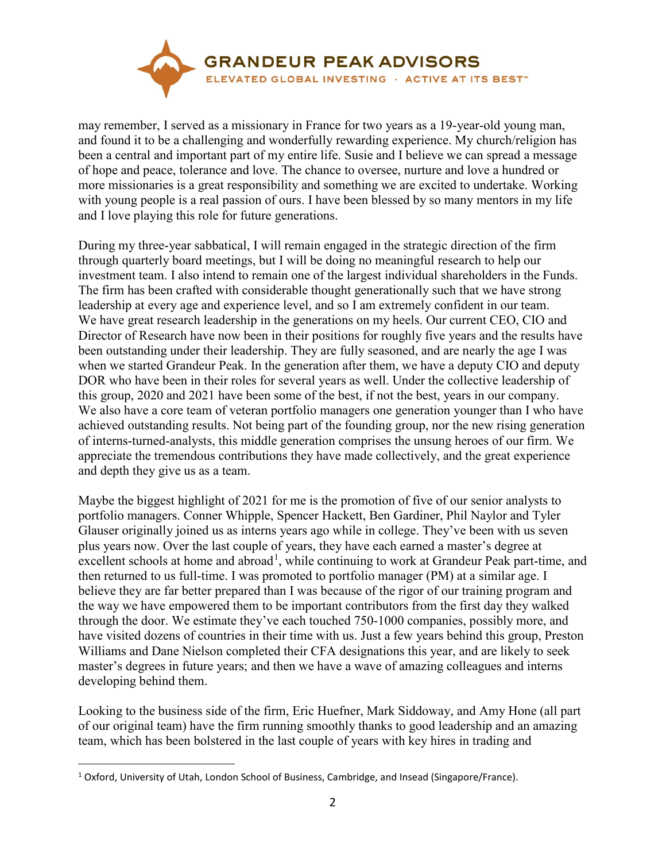

may remember, I served as a missionary in France for two years as a 19-year-old young man, and found it to be a challenging and wonderfully rewarding experience. My church/religion has been a central and important part of my entire life. Susie and I believe we can spread a message of hope and peace, tolerance and love. The chance to oversee, nurture and love a hundred or more missionaries is a great responsibility and something we are excited to undertake. Working with young people is a real passion of ours. I have been blessed by so many mentors in my life and I love playing this role for future generations.

During my three-year sabbatical, I will remain engaged in the strategic direction of the firm through quarterly board meetings, but I will be doing no meaningful research to help our investment team. I also intend to remain one of the largest individual shareholders in the Funds. The firm has been crafted with considerable thought generationally such that we have strong leadership at every age and experience level, and so I am extremely confident in our team. We have great research leadership in the generations on my heels. Our current CEO, CIO and Director of Research have now been in their positions for roughly five years and the results have been outstanding under their leadership. They are fully seasoned, and are nearly the age I was when we started Grandeur Peak. In the generation after them, we have a deputy CIO and deputy DOR who have been in their roles for several years as well. Under the collective leadership of this group, 2020 and 2021 have been some of the best, if not the best, years in our company. We also have a core team of veteran portfolio managers one generation younger than I who have achieved outstanding results. Not being part of the founding group, nor the new rising generation of interns-turned-analysts, this middle generation comprises the unsung heroes of our firm. We appreciate the tremendous contributions they have made collectively, and the great experience and depth they give us as a team.

Maybe the biggest highlight of 2021 for me is the promotion of five of our senior analysts to portfolio managers. Conner Whipple, Spencer Hackett, Ben Gardiner, Phil Naylor and Tyler Glauser originally joined us as interns years ago while in college. They've been with us seven plus years now. Over the last couple of years, they have each earned a master's degree at excellent schools at home and abroad<sup>[1](#page-1-0)</sup>, while continuing to work at Grandeur Peak part-time, and then returned to us full-time. I was promoted to portfolio manager (PM) at a similar age. I believe they are far better prepared than I was because of the rigor of our training program and the way we have empowered them to be important contributors from the first day they walked through the door. We estimate they've each touched 750-1000 companies, possibly more, and have visited dozens of countries in their time with us. Just a few years behind this group, Preston Williams and Dane Nielson completed their CFA designations this year, and are likely to seek master's degrees in future years; and then we have a wave of amazing colleagues and interns developing behind them.

Looking to the business side of the firm, Eric Huefner, Mark Siddoway, and Amy Hone (all part of our original team) have the firm running smoothly thanks to good leadership and an amazing team, which has been bolstered in the last couple of years with key hires in trading and

 $\overline{a}$ 

<span id="page-1-0"></span><sup>&</sup>lt;sup>1</sup> Oxford, University of Utah, London School of Business, Cambridge, and Insead (Singapore/France).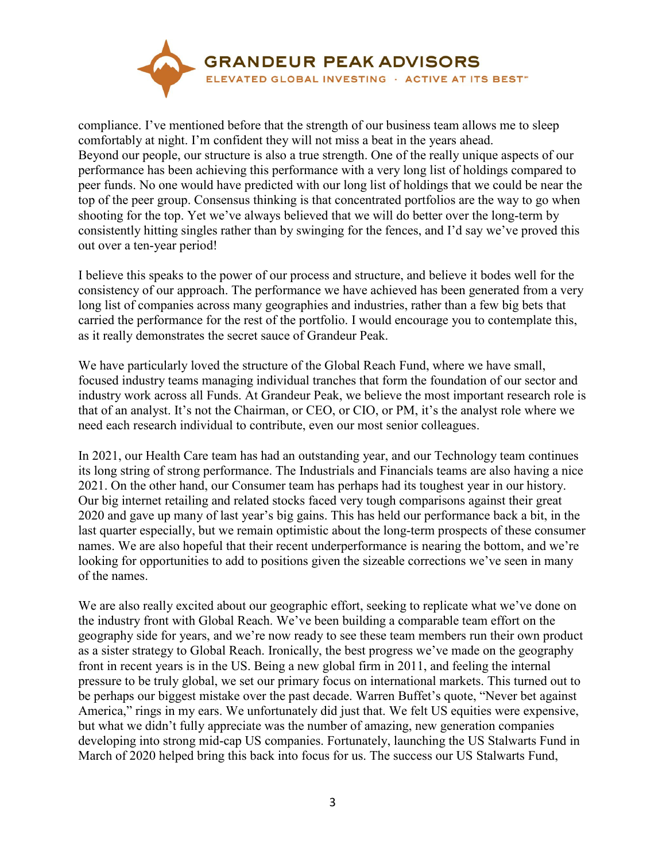

compliance. I've mentioned before that the strength of our business team allows me to sleep comfortably at night. I'm confident they will not miss a beat in the years ahead. Beyond our people, our structure is also a true strength. One of the really unique aspects of our performance has been achieving this performance with a very long list of holdings compared to peer funds. No one would have predicted with our long list of holdings that we could be near the top of the peer group. Consensus thinking is that concentrated portfolios are the way to go when shooting for the top. Yet we've always believed that we will do better over the long-term by consistently hitting singles rather than by swinging for the fences, and I'd say we've proved this out over a ten-year period!

I believe this speaks to the power of our process and structure, and believe it bodes well for the consistency of our approach. The performance we have achieved has been generated from a very long list of companies across many geographies and industries, rather than a few big bets that carried the performance for the rest of the portfolio. I would encourage you to contemplate this, as it really demonstrates the secret sauce of Grandeur Peak.

We have particularly loved the structure of the Global Reach Fund, where we have small, focused industry teams managing individual tranches that form the foundation of our sector and industry work across all Funds. At Grandeur Peak, we believe the most important research role is that of an analyst. It's not the Chairman, or CEO, or CIO, or PM, it's the analyst role where we need each research individual to contribute, even our most senior colleagues.

In 2021, our Health Care team has had an outstanding year, and our Technology team continues its long string of strong performance. The Industrials and Financials teams are also having a nice 2021. On the other hand, our Consumer team has perhaps had its toughest year in our history. Our big internet retailing and related stocks faced very tough comparisons against their great 2020 and gave up many of last year's big gains. This has held our performance back a bit, in the last quarter especially, but we remain optimistic about the long-term prospects of these consumer names. We are also hopeful that their recent underperformance is nearing the bottom, and we're looking for opportunities to add to positions given the sizeable corrections we've seen in many of the names.

We are also really excited about our geographic effort, seeking to replicate what we've done on the industry front with Global Reach. We've been building a comparable team effort on the geography side for years, and we're now ready to see these team members run their own product as a sister strategy to Global Reach. Ironically, the best progress we've made on the geography front in recent years is in the US. Being a new global firm in 2011, and feeling the internal pressure to be truly global, we set our primary focus on international markets. This turned out to be perhaps our biggest mistake over the past decade. Warren Buffet's quote, "Never bet against America," rings in my ears. We unfortunately did just that. We felt US equities were expensive, but what we didn't fully appreciate was the number of amazing, new generation companies developing into strong mid-cap US companies. Fortunately, launching the US Stalwarts Fund in March of 2020 helped bring this back into focus for us. The success our US Stalwarts Fund,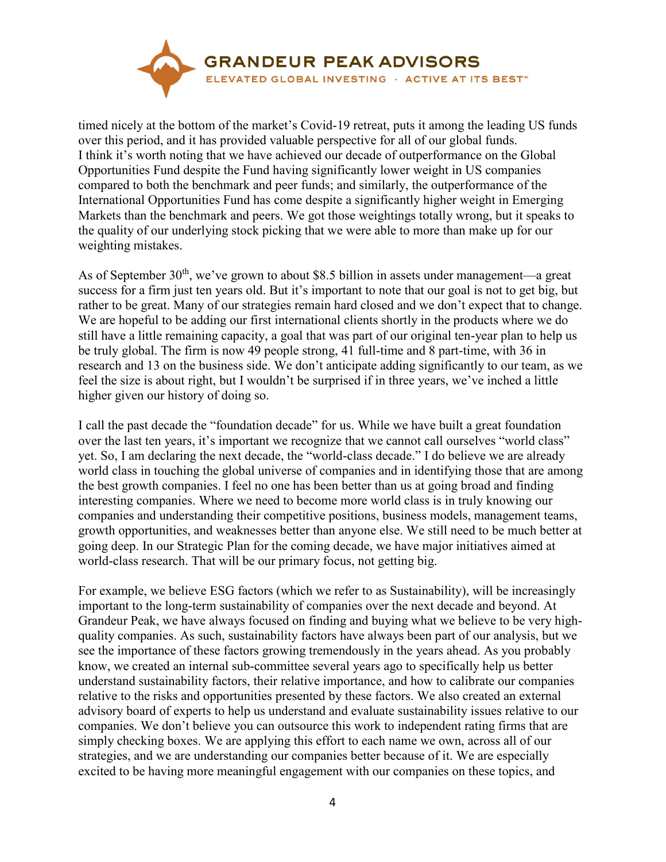

timed nicely at the bottom of the market's Covid-19 retreat, puts it among the leading US funds over this period, and it has provided valuable perspective for all of our global funds. I think it's worth noting that we have achieved our decade of outperformance on the Global Opportunities Fund despite the Fund having significantly lower weight in US companies compared to both the benchmark and peer funds; and similarly, the outperformance of the International Opportunities Fund has come despite a significantly higher weight in Emerging Markets than the benchmark and peers. We got those weightings totally wrong, but it speaks to the quality of our underlying stock picking that we were able to more than make up for our weighting mistakes.

As of September  $30<sup>th</sup>$ , we've grown to about \$8.5 billion in assets under management—a great success for a firm just ten years old. But it's important to note that our goal is not to get big, but rather to be great. Many of our strategies remain hard closed and we don't expect that to change. We are hopeful to be adding our first international clients shortly in the products where we do still have a little remaining capacity, a goal that was part of our original ten-year plan to help us be truly global. The firm is now 49 people strong, 41 full-time and 8 part-time, with 36 in research and 13 on the business side. We don't anticipate adding significantly to our team, as we feel the size is about right, but I wouldn't be surprised if in three years, we've inched a little higher given our history of doing so.

I call the past decade the "foundation decade" for us. While we have built a great foundation over the last ten years, it's important we recognize that we cannot call ourselves "world class" yet. So, I am declaring the next decade, the "world-class decade." I do believe we are already world class in touching the global universe of companies and in identifying those that are among the best growth companies. I feel no one has been better than us at going broad and finding interesting companies. Where we need to become more world class is in truly knowing our companies and understanding their competitive positions, business models, management teams, growth opportunities, and weaknesses better than anyone else. We still need to be much better at going deep. In our Strategic Plan for the coming decade, we have major initiatives aimed at world-class research. That will be our primary focus, not getting big.

For example, we believe ESG factors (which we refer to as Sustainability), will be increasingly important to the long-term sustainability of companies over the next decade and beyond. At Grandeur Peak, we have always focused on finding and buying what we believe to be very highquality companies. As such, sustainability factors have always been part of our analysis, but we see the importance of these factors growing tremendously in the years ahead. As you probably know, we created an internal sub-committee several years ago to specifically help us better understand sustainability factors, their relative importance, and how to calibrate our companies relative to the risks and opportunities presented by these factors. We also created an external advisory board of experts to help us understand and evaluate sustainability issues relative to our companies. We don't believe you can outsource this work to independent rating firms that are simply checking boxes. We are applying this effort to each name we own, across all of our strategies, and we are understanding our companies better because of it. We are especially excited to be having more meaningful engagement with our companies on these topics, and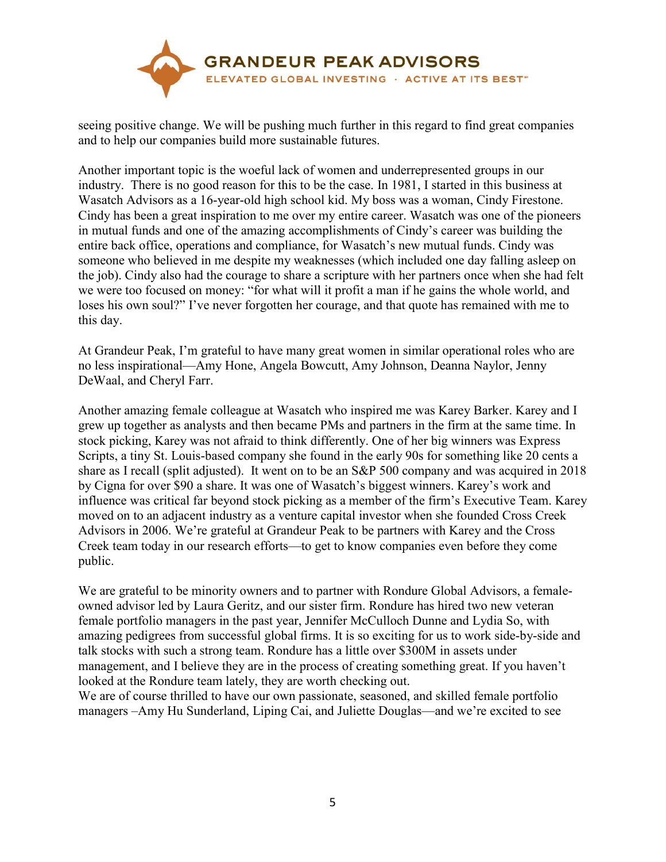

seeing positive change. We will be pushing much further in this regard to find great companies and to help our companies build more sustainable futures.

Another important topic is the woeful lack of women and underrepresented groups in our industry. There is no good reason for this to be the case. In 1981, I started in this business at Wasatch Advisors as a 16-year-old high school kid. My boss was a woman, Cindy Firestone. Cindy has been a great inspiration to me over my entire career. Wasatch was one of the pioneers in mutual funds and one of the amazing accomplishments of Cindy's career was building the entire back office, operations and compliance, for Wasatch's new mutual funds. Cindy was someone who believed in me despite my weaknesses (which included one day falling asleep on the job). Cindy also had the courage to share a scripture with her partners once when she had felt we were too focused on money: "for what will it profit a man if he gains the whole world, and loses his own soul?" I've never forgotten her courage, and that quote has remained with me to this day.

At Grandeur Peak, I'm grateful to have many great women in similar operational roles who are no less inspirational—Amy Hone, Angela Bowcutt, Amy Johnson, Deanna Naylor, Jenny DeWaal, and Cheryl Farr.

Another amazing female colleague at Wasatch who inspired me was Karey Barker. Karey and I grew up together as analysts and then became PMs and partners in the firm at the same time. In stock picking, Karey was not afraid to think differently. One of her big winners was Express Scripts, a tiny St. Louis-based company she found in the early 90s for something like 20 cents a share as I recall (split adjusted). It went on to be an S&P 500 company and was acquired in 2018 by Cigna for over \$90 a share. It was one of Wasatch's biggest winners. Karey's work and influence was critical far beyond stock picking as a member of the firm's Executive Team. Karey moved on to an adjacent industry as a venture capital investor when she founded Cross Creek Advisors in 2006. We're grateful at Grandeur Peak to be partners with Karey and the Cross Creek team today in our research efforts—to get to know companies even before they come public.

We are grateful to be minority owners and to partner with Rondure Global Advisors, a femaleowned advisor led by Laura Geritz, and our sister firm. Rondure has hired two new veteran female portfolio managers in the past year, Jennifer McCulloch Dunne and Lydia So, with amazing pedigrees from successful global firms. It is so exciting for us to work side-by-side and talk stocks with such a strong team. Rondure has a little over \$300M in assets under management, and I believe they are in the process of creating something great. If you haven't looked at the Rondure team lately, they are worth checking out.

We are of course thrilled to have our own passionate, seasoned, and skilled female portfolio managers –Amy Hu Sunderland, Liping Cai, and Juliette Douglas—and we're excited to see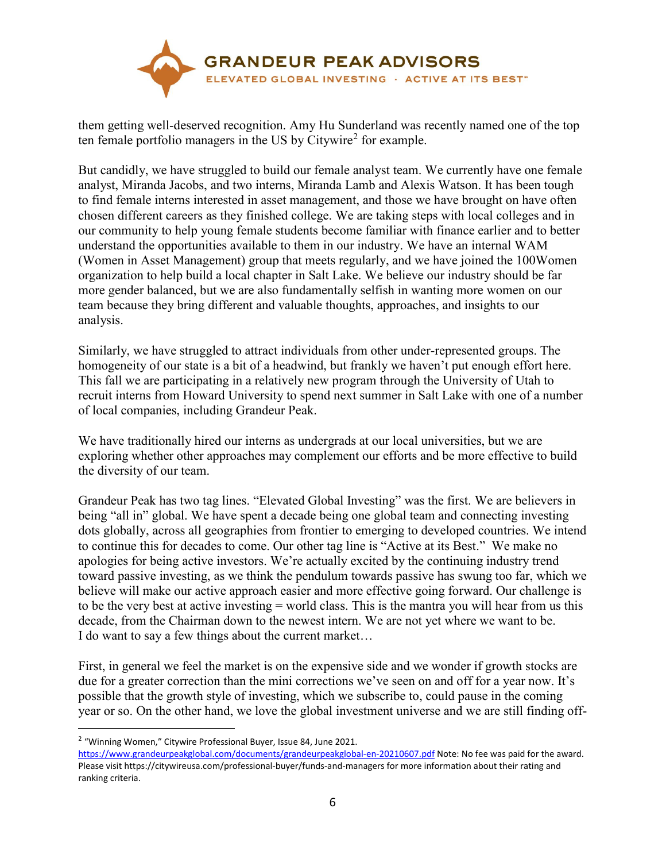

them getting well-deserved recognition. Amy Hu Sunderland was recently named one of the top ten female portfolio managers in the US by Citywire<sup>[2](#page-5-0)</sup> for example.

But candidly, we have struggled to build our female analyst team. We currently have one female analyst, Miranda Jacobs, and two interns, Miranda Lamb and Alexis Watson. It has been tough to find female interns interested in asset management, and those we have brought on have often chosen different careers as they finished college. We are taking steps with local colleges and in our community to help young female students become familiar with finance earlier and to better understand the opportunities available to them in our industry. We have an internal WAM (Women in Asset Management) group that meets regularly, and we have joined the 100Women organization to help build a local chapter in Salt Lake. We believe our industry should be far more gender balanced, but we are also fundamentally selfish in wanting more women on our team because they bring different and valuable thoughts, approaches, and insights to our analysis.

Similarly, we have struggled to attract individuals from other under-represented groups. The homogeneity of our state is a bit of a headwind, but frankly we haven't put enough effort here. This fall we are participating in a relatively new program through the University of Utah to recruit interns from Howard University to spend next summer in Salt Lake with one of a number of local companies, including Grandeur Peak.

We have traditionally hired our interns as undergrads at our local universities, but we are exploring whether other approaches may complement our efforts and be more effective to build the diversity of our team.

Grandeur Peak has two tag lines. "Elevated Global Investing" was the first. We are believers in being "all in" global. We have spent a decade being one global team and connecting investing dots globally, across all geographies from frontier to emerging to developed countries. We intend to continue this for decades to come. Our other tag line is "Active at its Best." We make no apologies for being active investors. We're actually excited by the continuing industry trend toward passive investing, as we think the pendulum towards passive has swung too far, which we believe will make our active approach easier and more effective going forward. Our challenge is to be the very best at active investing = world class. This is the mantra you will hear from us this decade, from the Chairman down to the newest intern. We are not yet where we want to be. I do want to say a few things about the current market…

First, in general we feel the market is on the expensive side and we wonder if growth stocks are due for a greater correction than the mini corrections we've seen on and off for a year now. It's possible that the growth style of investing, which we subscribe to, could pause in the coming year or so. On the other hand, we love the global investment universe and we are still finding off-

 $\overline{a}$ 

<span id="page-5-0"></span><sup>&</sup>lt;sup>2</sup> "Winning Women," Citywire Professional Buyer, Issue 84, June 2021.

<https://www.grandeurpeakglobal.com/documents/grandeurpeakglobal-en-20210607.pdf> Note: No fee was paid for the award. Please visit https://citywireusa.com/professional-buyer/funds-and-managers for more information about their rating and ranking criteria.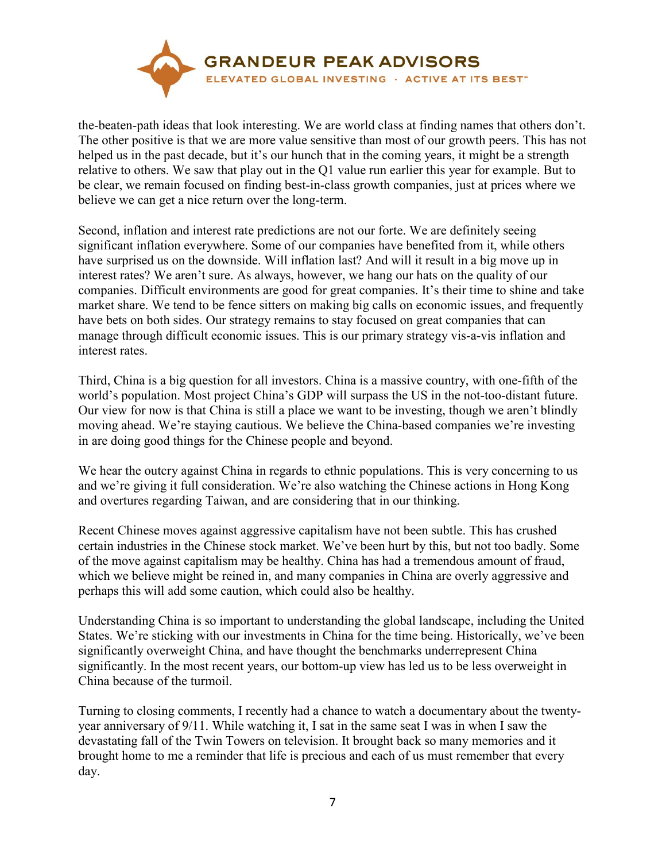

the-beaten-path ideas that look interesting. We are world class at finding names that others don't. The other positive is that we are more value sensitive than most of our growth peers. This has not helped us in the past decade, but it's our hunch that in the coming years, it might be a strength relative to others. We saw that play out in the Q1 value run earlier this year for example. But to be clear, we remain focused on finding best-in-class growth companies, just at prices where we believe we can get a nice return over the long-term.

Second, inflation and interest rate predictions are not our forte. We are definitely seeing significant inflation everywhere. Some of our companies have benefited from it, while others have surprised us on the downside. Will inflation last? And will it result in a big move up in interest rates? We aren't sure. As always, however, we hang our hats on the quality of our companies. Difficult environments are good for great companies. It's their time to shine and take market share. We tend to be fence sitters on making big calls on economic issues, and frequently have bets on both sides. Our strategy remains to stay focused on great companies that can manage through difficult economic issues. This is our primary strategy vis-a-vis inflation and interest rates.

Third, China is a big question for all investors. China is a massive country, with one-fifth of the world's population. Most project China's GDP will surpass the US in the not-too-distant future. Our view for now is that China is still a place we want to be investing, though we aren't blindly moving ahead. We're staying cautious. We believe the China-based companies we're investing in are doing good things for the Chinese people and beyond.

We hear the outcry against China in regards to ethnic populations. This is very concerning to us and we're giving it full consideration. We're also watching the Chinese actions in Hong Kong and overtures regarding Taiwan, and are considering that in our thinking.

Recent Chinese moves against aggressive capitalism have not been subtle. This has crushed certain industries in the Chinese stock market. We've been hurt by this, but not too badly. Some of the move against capitalism may be healthy. China has had a tremendous amount of fraud, which we believe might be reined in, and many companies in China are overly aggressive and perhaps this will add some caution, which could also be healthy.

Understanding China is so important to understanding the global landscape, including the United States. We're sticking with our investments in China for the time being. Historically, we've been significantly overweight China, and have thought the benchmarks underrepresent China significantly. In the most recent years, our bottom-up view has led us to be less overweight in China because of the turmoil.

Turning to closing comments, I recently had a chance to watch a documentary about the twentyyear anniversary of 9/11. While watching it, I sat in the same seat I was in when I saw the devastating fall of the Twin Towers on television. It brought back so many memories and it brought home to me a reminder that life is precious and each of us must remember that every day.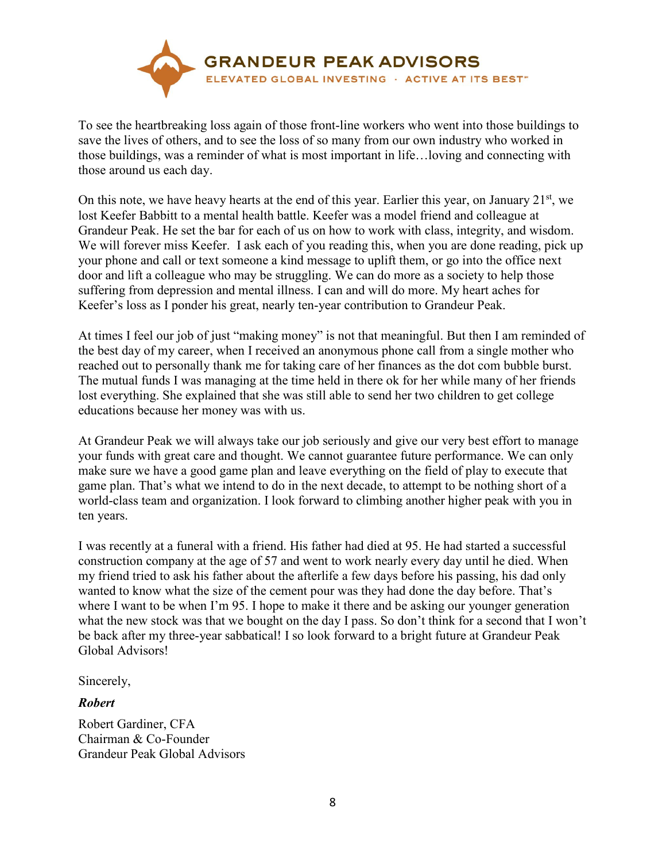

To see the heartbreaking loss again of those front-line workers who went into those buildings to save the lives of others, and to see the loss of so many from our own industry who worked in those buildings, was a reminder of what is most important in life…loving and connecting with those around us each day.

On this note, we have heavy hearts at the end of this year. Earlier this year, on January 21<sup>st</sup>, we lost Keefer Babbitt to a mental health battle. Keefer was a model friend and colleague at Grandeur Peak. He set the bar for each of us on how to work with class, integrity, and wisdom. We will forever miss Keefer. I ask each of you reading this, when you are done reading, pick up your phone and call or text someone a kind message to uplift them, or go into the office next door and lift a colleague who may be struggling. We can do more as a society to help those suffering from depression and mental illness. I can and will do more. My heart aches for Keefer's loss as I ponder his great, nearly ten-year contribution to Grandeur Peak.

At times I feel our job of just "making money" is not that meaningful. But then I am reminded of the best day of my career, when I received an anonymous phone call from a single mother who reached out to personally thank me for taking care of her finances as the dot com bubble burst. The mutual funds I was managing at the time held in there ok for her while many of her friends lost everything. She explained that she was still able to send her two children to get college educations because her money was with us.

At Grandeur Peak we will always take our job seriously and give our very best effort to manage your funds with great care and thought. We cannot guarantee future performance. We can only make sure we have a good game plan and leave everything on the field of play to execute that game plan. That's what we intend to do in the next decade, to attempt to be nothing short of a world-class team and organization. I look forward to climbing another higher peak with you in ten years.

I was recently at a funeral with a friend. His father had died at 95. He had started a successful construction company at the age of 57 and went to work nearly every day until he died. When my friend tried to ask his father about the afterlife a few days before his passing, his dad only wanted to know what the size of the cement pour was they had done the day before. That's where I want to be when I'm 95. I hope to make it there and be asking our younger generation what the new stock was that we bought on the day I pass. So don't think for a second that I won't be back after my three-year sabbatical! I so look forward to a bright future at Grandeur Peak Global Advisors!

Sincerely,

## *Robert*

Robert Gardiner, CFA Chairman & Co-Founder Grandeur Peak Global Advisors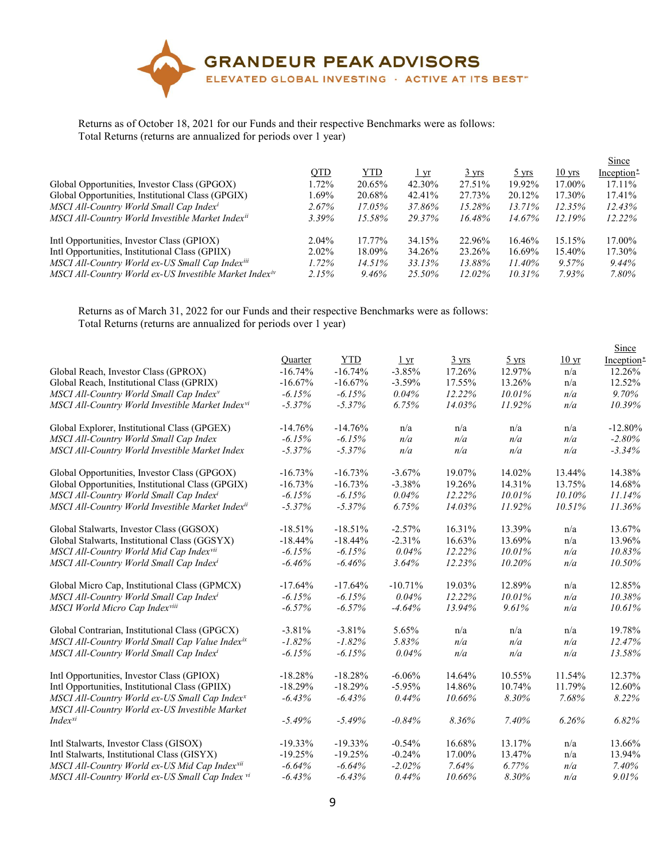

## Returns as of October 18, 2021 for our Funds and their respective Benchmarks were as follows: Total Returns (returns are annualized for periods over 1 year)

|                                                                    |            |            |             |                 |                 |                  | <b>Since</b> |
|--------------------------------------------------------------------|------------|------------|-------------|-----------------|-----------------|------------------|--------------|
|                                                                    | <b>QTD</b> | <b>YTD</b> | <u>l yr</u> | $3 \text{ yrs}$ | $5 \text{ yrs}$ | $10 \text{ yrs}$ | Inception*   |
| Global Opportunities, Investor Class (GPGOX)                       | 1.72%      | 20.65%     | 42.30%      | 27.51%          | 19.92%          | 17.00%           | $17.11\%$    |
| Global Opportunities, Institutional Class (GPGIX)                  | 1.69%      | 20.68%     | 42.41%      | 27.73%          | 20.12%          | 17.30%           | 17.41%       |
| MSCI All-Country World Small Cap Index <sup>i</sup>                | $2.67\%$   | 17.05%     | 37.86%      | 15.28%          | $13.71\%$       | 12.35%           | $12.43\%$    |
| MSCI All-Country World Investible Market Index <sup>ii</sup>       | $3.39\%$   | 15.58%     | 29.37%      | 16.48%          | 14.67%          | $12.19\%$        | $12.22\%$    |
| Intl Opportunities, Investor Class (GPIOX)                         | 2.04%      | 17.77%     | 34.15%      | 22.96%          | 16.46%          | 15.15%           | 17.00%       |
| Intl Opportunities, Institutional Class (GPIIX)                    | $2.02\%$   | 18.09%     | 34.26%      | 23.26%          | 16.69%          | 15.40%           | 17.30%       |
| MSCI All-Country World ex-US Small Cap Index <sup>iii</sup>        | $1.72\%$   | 14.51%     | 33.13%      | 13.88%          | 11.40%          | $9.57\%$         | 9.44%        |
| MSCI All-Country World ex-US Investible Market Index <sup>iv</sup> | 2.15%      | 9.46%      | 25.50%      | $12.02\%$       | 10.31%          | $7.93\%$         | 7.80%        |

Returns as of March 31, 2022 for our Funds and their respective Benchmarks were as follows: Total Returns (returns are annualized for periods over 1 year)

|                                                                                                             |            |            |                 |                 |                 |                  | Since      |
|-------------------------------------------------------------------------------------------------------------|------------|------------|-----------------|-----------------|-----------------|------------------|------------|
|                                                                                                             | Quarter    | <b>YTD</b> | $1 \,\text{yr}$ | $3 \text{ yrs}$ | $5 \text{ yrs}$ | 10 <sub>yr</sub> | Inception* |
| Global Reach, Investor Class (GPROX)                                                                        | $-16.74%$  | $-16.74%$  | $-3.85%$        | 17.26%          | 12.97%          | n/a              | 12.26%     |
| Global Reach, Institutional Class (GPRIX)                                                                   | $-16.67%$  | $-16.67%$  | $-3.59%$        | 17.55%          | 13.26%          | n/a              | 12.52%     |
| MSCI All-Country World Small Cap Index <sup>v</sup>                                                         | $-6.15%$   | $-6.15%$   | 0.04%           | 12.22%          | 10.01%          | n/a              | 9.70%      |
| MSCI All-Country World Investible Market Index <sup>vi</sup>                                                | $-5.37%$   | $-5.37\%$  | 6.75%           | 14.03%          | 11.92%          | n/a              | 10.39%     |
| Global Explorer, Institutional Class (GPGEX)                                                                | $-14.76%$  | $-14.76%$  | n/a             | n/a             | n/a             | n/a              | $-12.80%$  |
| MSCI All-Country World Small Cap Index                                                                      | $-6.15%$   | $-6.15%$   | n/a             | n/a             | n/a             | n/a              | $-2.80\%$  |
| MSCI All-Country World Investible Market Index                                                              | $-5.37%$   | $-5.37%$   | n/a             | n/a             | n/a             | n/a              | $-3.34%$   |
| Global Opportunities, Investor Class (GPGOX)                                                                | $-16.73%$  | $-16.73%$  | $-3.67\%$       | 19.07%          | 14.02%          | 13.44%           | 14.38%     |
| Global Opportunities, Institutional Class (GPGIX)                                                           | $-16.73%$  | $-16.73%$  | $-3.38%$        | 19.26%          | 14.31%          | 13.75%           | 14.68%     |
| MSCI All-Country World Small Cap Indexi                                                                     | $-6.15%$   | $-6.15%$   | 0.04%           | 12.22%          | 10.01%          | 10.10%           | 11.14%     |
| MSCI All-Country World Investible Market Indexii                                                            | $-5.37%$   | $-5.37%$   | 6.75%           | 14.03%          | 11.92%          | 10.51%           | 11.36%     |
| Global Stalwarts, Investor Class (GGSOX)                                                                    | $-18.51%$  | $-18.51%$  | $-2.57%$        | 16.31%          | 13.39%          | n/a              | 13.67%     |
| Global Stalwarts, Institutional Class (GGSYX)                                                               | $-18.44%$  | $-18.44%$  | $-2.31%$        | 16.63%          | 13.69%          | n/a              | 13.96%     |
| MSCI All-Country World Mid Cap Indexvii                                                                     | $-6.15%$   | $-6.15%$   | 0.04%           | 12.22%          | 10.01%          | n/a              | 10.83%     |
| MSCI All-Country World Small Cap Indexi                                                                     | $-6.46%$   | $-6.46%$   | 3.64%           | 12.23%          | 10.20%          | n/a              | 10.50%     |
| Global Micro Cap, Institutional Class (GPMCX)                                                               | $-17.64%$  | $-17.64%$  | $-10.71%$       | 19.03%          | 12.89%          | n/a              | 12.85%     |
| MSCI All-Country World Small Cap Indexi                                                                     | $-6.15%$   | $-6.15%$   | 0.04%           | 12.22%          | 10.01%          | n/a              | 10.38%     |
| MSCI World Micro Cap Indexviii                                                                              | $-6.57%$   | $-6.57%$   | $-4.64%$        | 13.94%          | 9.61%           | n/a              | 10.61%     |
| Global Contrarian, Institutional Class (GPGCX)                                                              | $-3.81%$   | $-3.81%$   | 5.65%           | n/a             | n/a             | n/a              | 19.78%     |
| MSCI All-Country World Small Cap Value Indexix                                                              | $-1.82%$   | $-1.82%$   | 5.83%           | n/a             | n/a             | n/a              | 12.47%     |
| MSCI All-Country World Small Cap Index <sup>i</sup>                                                         | $-6.15%$   | $-6.15%$   | 0.04%           | n/a             | n/a             | n/a              | 13.58%     |
| Intl Opportunities, Investor Class (GPIOX)                                                                  | $-18.28%$  | $-18.28%$  | $-6.06%$        | 14.64%          | 10.55%          | 11.54%           | 12.37%     |
| Intl Opportunities, Institutional Class (GPIIX)                                                             | $-18.29%$  | $-18.29%$  | $-5.95%$        | 14.86%          | 10.74%          | 11.79%           | 12.60%     |
| MSCI All-Country World ex-US Small Cap Index <sup>x</sup><br>MSCI All-Country World ex-US Investible Market | $-6.43%$   | $-6.43%$   | 0.44%           | 10.66%          | 8.30%           | 7.68%            | 8.22%      |
| $Index^{xi}$                                                                                                | $-5.49%$   | $-5.49%$   | $-0.84%$        | 8.36%           | 7.40%           | 6.26%            | 6.82%      |
| Intl Stalwarts, Investor Class (GISOX)                                                                      | $-19.33\%$ | $-19.33%$  | $-0.54%$        | 16.68%          | 13.17%          | n/a              | 13.66%     |
| Intl Stalwarts, Institutional Class (GISYX)                                                                 | $-19.25%$  | $-19.25%$  | $-0.24%$        | 17.00%          | 13.47%          | n/a              | 13.94%     |
| MSCI All-Country World ex-US Mid Cap Indexxii                                                               | $-6.64\%$  | $-6.64%$   | $-2.02\%$       | 7.64%           | $6.77\%$        | n/a              | 7.40%      |
| MSCI All-Country World ex-US Small Cap Index vi                                                             | $-6.43%$   | $-6.43%$   | 0.44%           | 10.66%          | 8.30%           | n/a              | 9.01%      |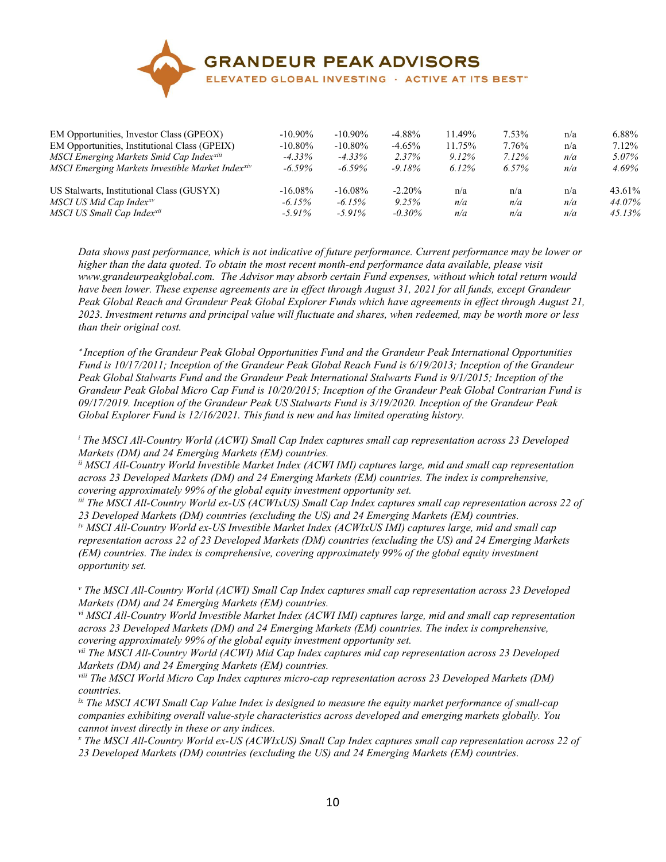

| EM Opportunities, Investor Class (GPEOX)         | $-10.90\%$ | $-10.90\%$ | $-4.88\%$ | 11.49%   | 7.53%    | n/a | 6.88%    |
|--------------------------------------------------|------------|------------|-----------|----------|----------|-----|----------|
| EM Opportunities, Institutional Class (GPEIX)    | $-10.80\%$ | $-10.80\%$ | $-4.65%$  | 11.75%   | 7.76%    | n/a | 7.12%    |
| MSCI Emerging Markets Smid Cap Indexxiii         | $-4.33\%$  | $-4.33\%$  | 2.37%     | $9.12\%$ | $7.12\%$ | n/a | $5.07\%$ |
| MSCI Emerging Markets Investible Market Indexxiv | $-6.59\%$  | $-6.59\%$  | $-9.18\%$ | $6.12\%$ | $6.57\%$ | n/a | 4.69%    |
| US Stalwarts, Institutional Class (GUSYX)        | $-16.08\%$ | $-16.08\%$ | $-2.20\%$ | n/a      | n/a      | n/a | 43.61%   |
| MSCI US Mid Cap Index <sup>xv</sup>              | $-6.15\%$  | $-6.15\%$  | 9.25%     | n/a      | n/a      | n/a | 44.07%   |
| MSCI US Small Cap Indexxii                       | $-5.91\%$  | $-5.91\%$  | $-0.30\%$ | n/a      | n/a      | n/a | 45.13%   |

<span id="page-9-0"></span>*Data shows past performance, which is not indicative of future performance. Current performance may be lower or higher than the data quoted. To obtain the most recent month-end performance data available, please visit www.grandeurpeakglobal.com. The Advisor may absorb certain Fund expenses, without which total return would have been lower. These expense agreements are in effect through August 31, 2021 for all funds, except Grandeur Peak Global Reach and Grandeur Peak Global Explorer Funds which have agreements in effect through August 21, 2023. Investment returns and principal value will fluctuate and shares, when redeemed, may be worth more or less than their original cost.*

∗ *Inception of the Grandeur Peak Global Opportunities Fund and the Grandeur Peak International Opportunities Fund is 10/17/2011; Inception of the Grandeur Peak Global Reach Fund is 6/19/2013; Inception of the Grandeur Peak Global Stalwarts Fund and the Grandeur Peak International Stalwarts Fund is 9/1/2015; Inception of the Grandeur Peak Global Micro Cap Fund is 10/20/2015; Inception of the Grandeur Peak Global Contrarian Fund is 09/17/2019. Inception of the Grandeur Peak US Stalwarts Fund is 3/19/2020. Inception of the Grandeur Peak Global Explorer Fund is 12/16/2021. This fund is new and has limited operating history.*

<span id="page-9-1"></span>*<sup>i</sup> The MSCI All-Country World (ACWI) Small Cap Index captures small cap representation across 23 Developed Markets (DM) and 24 Emerging Markets (EM) countries.*

<span id="page-9-2"></span>*ii MSCI All-Country World Investible Market Index (ACWI IMI) captures large, mid and small cap representation across 23 Developed Markets (DM) and 24 Emerging Markets (EM) countries. The index is comprehensive, covering approximately 99% of the global equity investment opportunity set.*

<span id="page-9-3"></span>*iii The MSCI All-Country World ex-US (ACWIxUS) Small Cap Index captures small cap representation across 22 of 23 Developed Markets (DM) countries (excluding the US) and 24 Emerging Markets (EM) countries.*

<span id="page-9-4"></span>*iv MSCI All-Country World ex-US Investible Market Index (ACWIxUS IMI) captures large, mid and small cap representation across 22 of 23 Developed Markets (DM) countries (excluding the US) and 24 Emerging Markets (EM) countries. The index is comprehensive, covering approximately 99% of the global equity investment opportunity set.*

<span id="page-9-6"></span><span id="page-9-5"></span>*<sup>v</sup> The MSCI All-Country World (ACWI) Small Cap Index captures small cap representation across 23 Developed Markets (DM) and 24 Emerging Markets (EM) countries.*

<span id="page-9-7"></span>*vi MSCI All-Country World Investible Market Index (ACWI IMI) captures large, mid and small cap representation across 23 Developed Markets (DM) and 24 Emerging Markets (EM) countries. The index is comprehensive, covering approximately 99% of the global equity investment opportunity set.*

<span id="page-9-8"></span>*vii The MSCI All-Country World (ACWI) Mid Cap Index captures mid cap representation across 23 Developed Markets (DM) and 24 Emerging Markets (EM) countries.*

<span id="page-9-9"></span>*viii The MSCI World Micro Cap Index captures micro-cap representation across 23 Developed Markets (DM) countries.*

<span id="page-9-10"></span>*ix The MSCI ACWI Small Cap Value Index is designed to measure the equity market performance of small-cap companies exhibiting overall value-style characteristics across developed and emerging markets globally. You cannot invest directly in these or any indices.*

<span id="page-9-11"></span>*<sup>x</sup> The MSCI All-Country World ex-US (ACWIxUS) Small Cap Index captures small cap representation across 22 of 23 Developed Markets (DM) countries (excluding the US) and 24 Emerging Markets (EM) countries.*